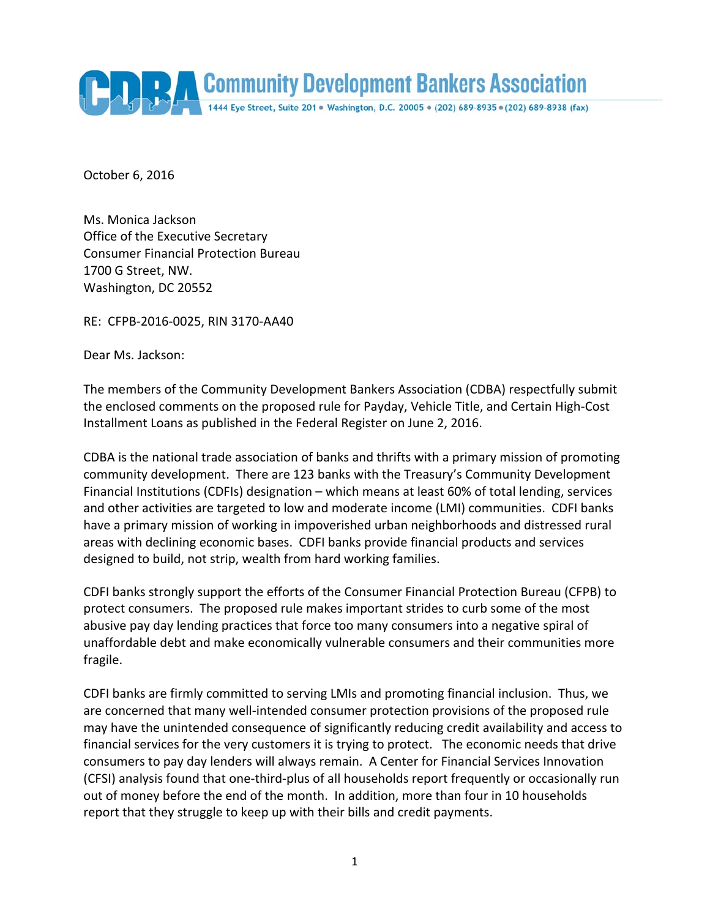

October 6, 2016

Ms. Monica Jackson Office of the Executive Secretary Consumer Financial Protection Bureau 1700 G Street, NW. Washington, DC 20552

RE: CFPB‐2016‐0025, RIN 3170‐AA40

Dear Ms. Jackson:

The members of the Community Development Bankers Association (CDBA) respectfully submit the enclosed comments on the proposed rule for Payday, Vehicle Title, and Certain High‐Cost Installment Loans as published in the Federal Register on June 2, 2016.

CDBA is the national trade association of banks and thrifts with a primary mission of promoting community development. There are 123 banks with the Treasury's Community Development Financial Institutions (CDFIs) designation – which means at least 60% of total lending, services and other activities are targeted to low and moderate income (LMI) communities. CDFI banks have a primary mission of working in impoverished urban neighborhoods and distressed rural areas with declining economic bases. CDFI banks provide financial products and services designed to build, not strip, wealth from hard working families.

CDFI banks strongly support the efforts of the Consumer Financial Protection Bureau (CFPB) to protect consumers. The proposed rule makes important strides to curb some of the most abusive pay day lending practices that force too many consumers into a negative spiral of unaffordable debt and make economically vulnerable consumers and their communities more fragile.

CDFI banks are firmly committed to serving LMIs and promoting financial inclusion. Thus, we are concerned that many well-intended consumer protection provisions of the proposed rule may have the unintended consequence of significantly reducing credit availability and access to financial services for the very customers it is trying to protect. The economic needs that drive consumers to pay day lenders will always remain. A Center for Financial Services Innovation (CFSI) analysis found that one‐third‐plus of all households report frequently or occasionally run out of money before the end of the month. In addition, more than four in 10 households report that they struggle to keep up with their bills and credit payments.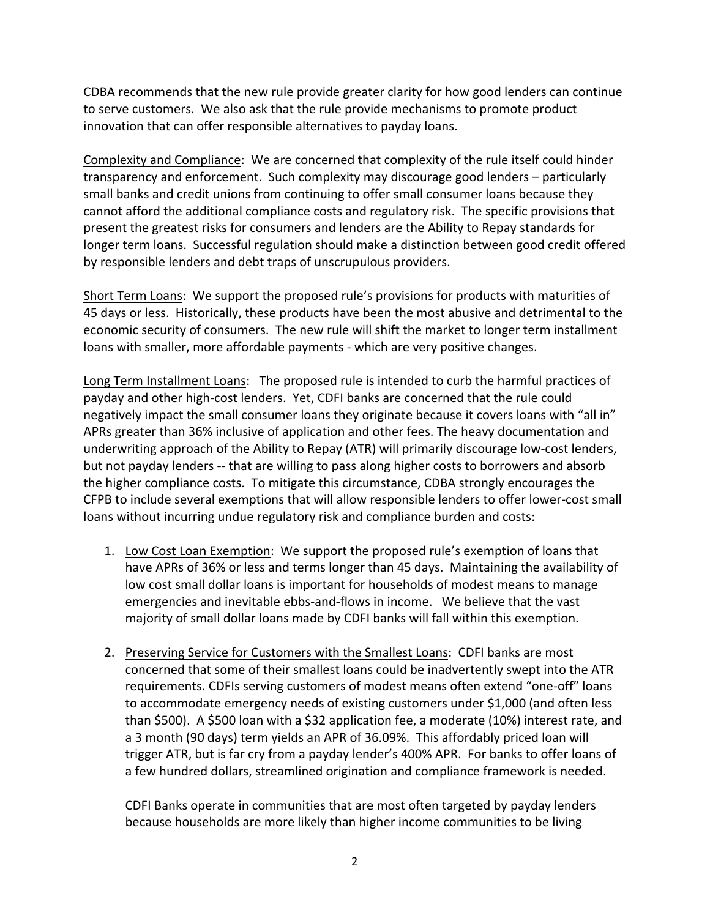CDBA recommends that the new rule provide greater clarity for how good lenders can continue to serve customers. We also ask that the rule provide mechanisms to promote product innovation that can offer responsible alternatives to payday loans.

Complexity and Compliance: We are concerned that complexity of the rule itself could hinder transparency and enforcement. Such complexity may discourage good lenders – particularly small banks and credit unions from continuing to offer small consumer loans because they cannot afford the additional compliance costs and regulatory risk. The specific provisions that present the greatest risks for consumers and lenders are the Ability to Repay standards for longer term loans. Successful regulation should make a distinction between good credit offered by responsible lenders and debt traps of unscrupulous providers.

Short Term Loans: We support the proposed rule's provisions for products with maturities of 45 days or less. Historically, these products have been the most abusive and detrimental to the economic security of consumers. The new rule will shift the market to longer term installment loans with smaller, more affordable payments ‐ which are very positive changes.

Long Term Installment Loans: The proposed rule is intended to curb the harmful practices of payday and other high‐cost lenders. Yet, CDFI banks are concerned that the rule could negatively impact the small consumer loans they originate because it covers loans with "all in" APRs greater than 36% inclusive of application and other fees. The heavy documentation and underwriting approach of the Ability to Repay (ATR) will primarily discourage low‐cost lenders, but not payday lenders ‐‐ that are willing to pass along higher costs to borrowers and absorb the higher compliance costs. To mitigate this circumstance, CDBA strongly encourages the CFPB to include several exemptions that will allow responsible lenders to offer lower‐cost small loans without incurring undue regulatory risk and compliance burden and costs:

- 1. Low Cost Loan Exemption: We support the proposed rule's exemption of loans that have APRs of 36% or less and terms longer than 45 days. Maintaining the availability of low cost small dollar loans is important for households of modest means to manage emergencies and inevitable ebbs-and-flows in income. We believe that the vast majority of small dollar loans made by CDFI banks will fall within this exemption.
- 2. Preserving Service for Customers with the Smallest Loans: CDFI banks are most concerned that some of their smallest loans could be inadvertently swept into the ATR requirements. CDFIs serving customers of modest means often extend "one‐off" loans to accommodate emergency needs of existing customers under \$1,000 (and often less than \$500). A \$500 loan with a \$32 application fee, a moderate (10%) interest rate, and a 3 month (90 days) term yields an APR of 36.09%. This affordably priced loan will trigger ATR, but is far cry from a payday lender's 400% APR. For banks to offer loans of a few hundred dollars, streamlined origination and compliance framework is needed.

CDFI Banks operate in communities that are most often targeted by payday lenders because households are more likely than higher income communities to be living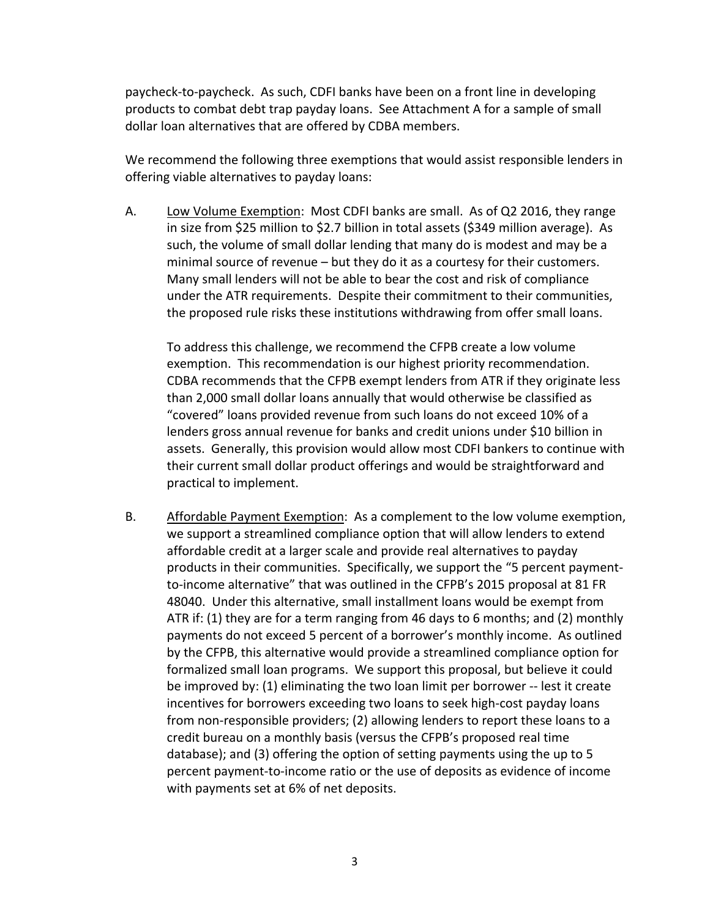paycheck‐to‐paycheck. As such, CDFI banks have been on a front line in developing products to combat debt trap payday loans. See Attachment A for a sample of small dollar loan alternatives that are offered by CDBA members.

We recommend the following three exemptions that would assist responsible lenders in offering viable alternatives to payday loans:

A. Low Volume Exemption: Most CDFI banks are small. As of Q2 2016, they range in size from \$25 million to \$2.7 billion in total assets (\$349 million average). As such, the volume of small dollar lending that many do is modest and may be a minimal source of revenue – but they do it as a courtesy for their customers. Many small lenders will not be able to bear the cost and risk of compliance under the ATR requirements. Despite their commitment to their communities, the proposed rule risks these institutions withdrawing from offer small loans.

To address this challenge, we recommend the CFPB create a low volume exemption. This recommendation is our highest priority recommendation. CDBA recommends that the CFPB exempt lenders from ATR if they originate less than 2,000 small dollar loans annually that would otherwise be classified as "covered" loans provided revenue from such loans do not exceed 10% of a lenders gross annual revenue for banks and credit unions under \$10 billion in assets. Generally, this provision would allow most CDFI bankers to continue with their current small dollar product offerings and would be straightforward and practical to implement.

B. Affordable Payment Exemption: As a complement to the low volume exemption, we support a streamlined compliance option that will allow lenders to extend affordable credit at a larger scale and provide real alternatives to payday products in their communities. Specifically, we support the "5 percent payment‐ to‐income alternative" that was outlined in the CFPB's 2015 proposal at 81 FR 48040. Under this alternative, small installment loans would be exempt from ATR if: (1) they are for a term ranging from 46 days to 6 months; and (2) monthly payments do not exceed 5 percent of a borrower's monthly income. As outlined by the CFPB, this alternative would provide a streamlined compliance option for formalized small loan programs. We support this proposal, but believe it could be improved by: (1) eliminating the two loan limit per borrower ‐‐ lest it create incentives for borrowers exceeding two loans to seek high‐cost payday loans from non-responsible providers; (2) allowing lenders to report these loans to a credit bureau on a monthly basis (versus the CFPB's proposed real time database); and (3) offering the option of setting payments using the up to 5 percent payment‐to‐income ratio or the use of deposits as evidence of income with payments set at 6% of net deposits.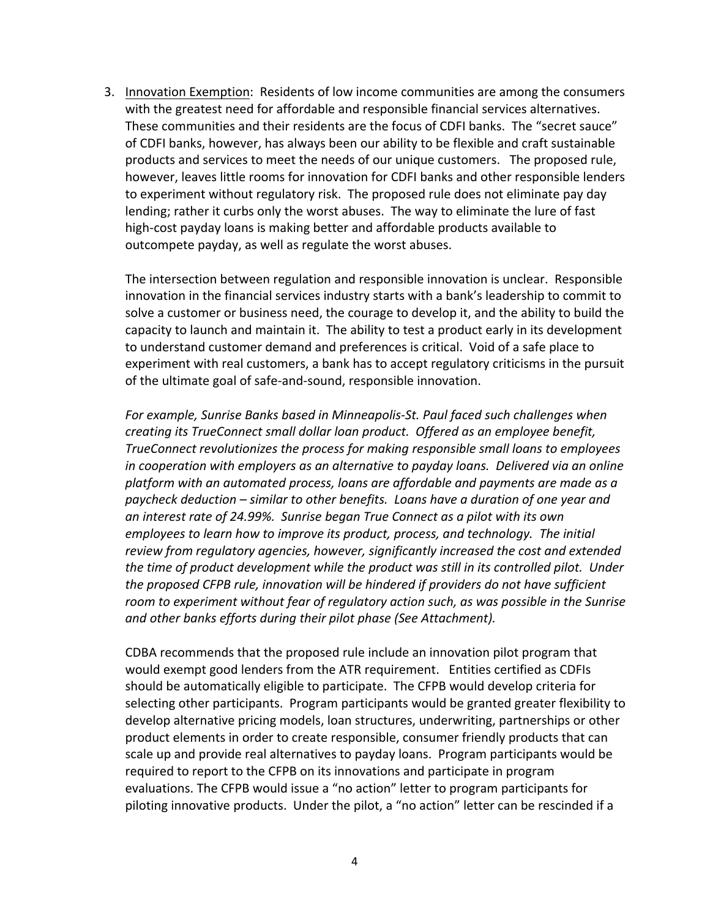3. Innovation Exemption: Residents of low income communities are among the consumers with the greatest need for affordable and responsible financial services alternatives. These communities and their residents are the focus of CDFI banks. The "secret sauce" of CDFI banks, however, has always been our ability to be flexible and craft sustainable products and services to meet the needs of our unique customers. The proposed rule, however, leaves little rooms for innovation for CDFI banks and other responsible lenders to experiment without regulatory risk. The proposed rule does not eliminate pay day lending; rather it curbs only the worst abuses. The way to eliminate the lure of fast high-cost payday loans is making better and affordable products available to outcompete payday, as well as regulate the worst abuses.

The intersection between regulation and responsible innovation is unclear. Responsible innovation in the financial services industry starts with a bank's leadership to commit to solve a customer or business need, the courage to develop it, and the ability to build the capacity to launch and maintain it. The ability to test a product early in its development to understand customer demand and preferences is critical. Void of a safe place to experiment with real customers, a bank has to accept regulatory criticisms in the pursuit of the ultimate goal of safe‐and‐sound, responsible innovation.

*For example, Sunrise Banks based in Minneapolis‐St. Paul faced such challenges when creating its TrueConnect small dollar loan product. Offered as an employee benefit, TrueConnect revolutionizes the process for making responsible small loans to employees in cooperation with employers as an alternative to payday loans. Delivered via an online platform with an automated process, loans are affordable and payments are made as a paycheck deduction – similar to other benefits. Loans have a duration of one year and an interest rate of 24.99%. Sunrise began True Connect as a pilot with its own employees to learn how to improve its product, process, and technology. The initial review from regulatory agencies, however, significantly increased the cost and extended the time of product development while the product was still in its controlled pilot. Under the proposed CFPB rule, innovation will be hindered if providers do not have sufficient room to experiment without fear of regulatory action such, as was possible in the Sunrise and other banks efforts during their pilot phase (See Attachment).*

CDBA recommends that the proposed rule include an innovation pilot program that would exempt good lenders from the ATR requirement. Entities certified as CDFIs should be automatically eligible to participate. The CFPB would develop criteria for selecting other participants. Program participants would be granted greater flexibility to develop alternative pricing models, loan structures, underwriting, partnerships or other product elements in order to create responsible, consumer friendly products that can scale up and provide real alternatives to payday loans. Program participants would be required to report to the CFPB on its innovations and participate in program evaluations. The CFPB would issue a "no action" letter to program participants for piloting innovative products. Under the pilot, a "no action" letter can be rescinded if a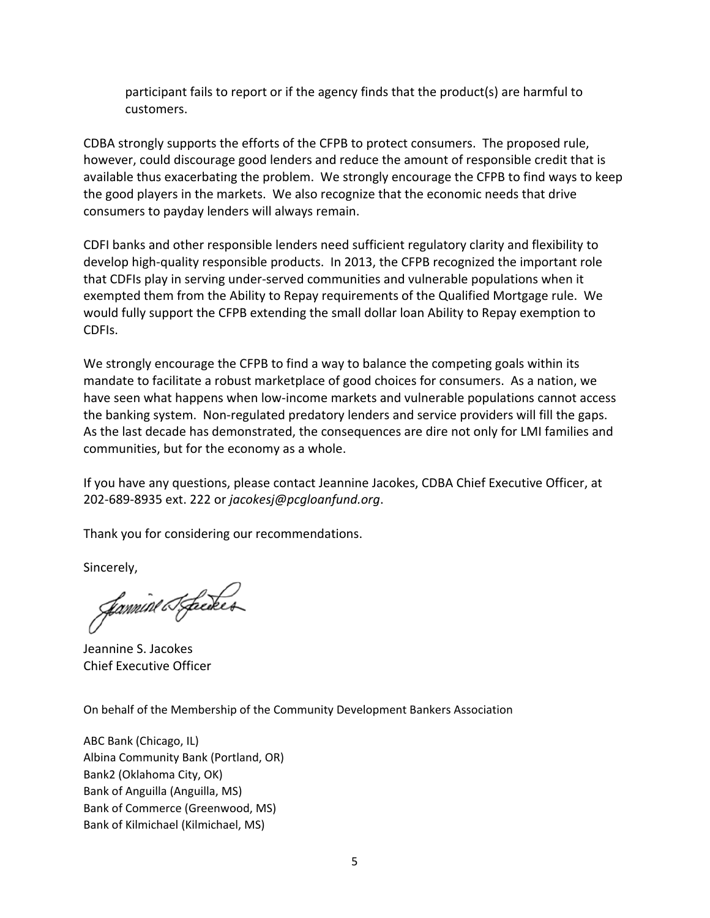participant fails to report or if the agency finds that the product(s) are harmful to customers.

CDBA strongly supports the efforts of the CFPB to protect consumers. The proposed rule, however, could discourage good lenders and reduce the amount of responsible credit that is available thus exacerbating the problem. We strongly encourage the CFPB to find ways to keep the good players in the markets. We also recognize that the economic needs that drive consumers to payday lenders will always remain.

CDFI banks and other responsible lenders need sufficient regulatory clarity and flexibility to develop high-quality responsible products. In 2013, the CFPB recognized the important role that CDFIs play in serving under‐served communities and vulnerable populations when it exempted them from the Ability to Repay requirements of the Qualified Mortgage rule. We would fully support the CFPB extending the small dollar loan Ability to Repay exemption to CDFIs.

We strongly encourage the CFPB to find a way to balance the competing goals within its mandate to facilitate a robust marketplace of good choices for consumers. As a nation, we have seen what happens when low‐income markets and vulnerable populations cannot access the banking system. Non‐regulated predatory lenders and service providers will fill the gaps. As the last decade has demonstrated, the consequences are dire not only for LMI families and communities, but for the economy as a whole.

If you have any questions, please contact Jeannine Jacokes, CDBA Chief Executive Officer, at 202‐689‐8935 ext. 222 or *jacokesj@pcgloanfund.org*.

Thank you for considering our recommendations.

Sincerely,

fannine T. foeder

Jeannine S. Jacokes Chief Executive Officer

On behalf of the Membership of the Community Development Bankers Association

ABC Bank (Chicago, IL) Albina Community Bank (Portland, OR) Bank2 (Oklahoma City, OK) Bank of Anguilla (Anguilla, MS) Bank of Commerce (Greenwood, MS) Bank of Kilmichael (Kilmichael, MS)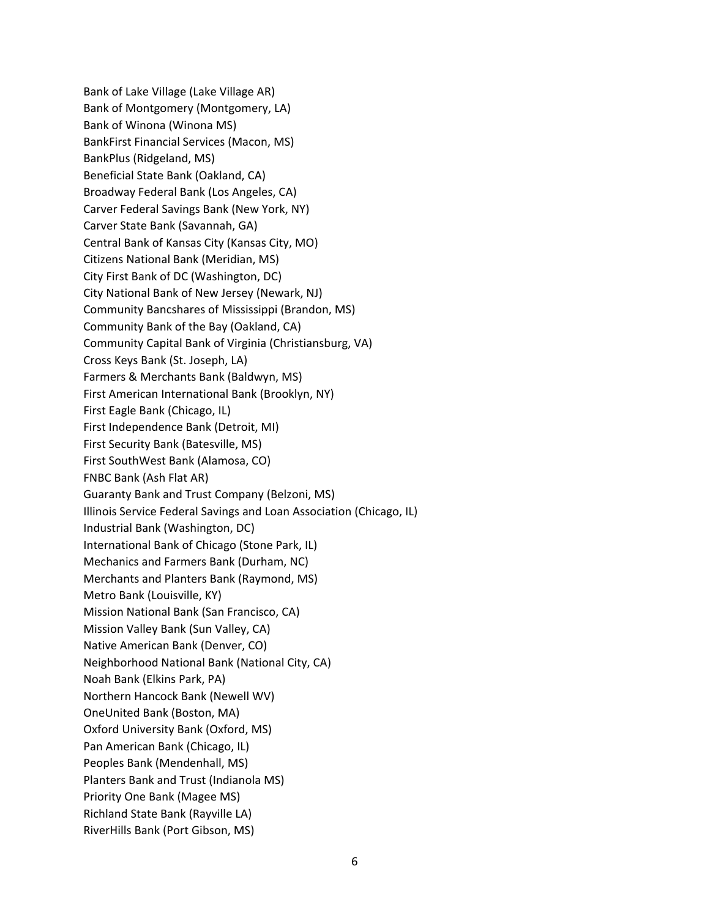Bank of Lake Village (Lake Village AR) Bank of Montgomery (Montgomery, LA) Bank of Winona (Winona MS) BankFirst Financial Services (Macon, MS) BankPlus (Ridgeland, MS) Beneficial State Bank (Oakland, CA) Broadway Federal Bank (Los Angeles, CA) Carver Federal Savings Bank (New York, NY) Carver State Bank (Savannah, GA) Central Bank of Kansas City (Kansas City, MO) Citizens National Bank (Meridian, MS) City First Bank of DC (Washington, DC) City National Bank of New Jersey (Newark, NJ) Community Bancshares of Mississippi (Brandon, MS) Community Bank of the Bay (Oakland, CA) Community Capital Bank of Virginia (Christiansburg, VA) Cross Keys Bank (St. Joseph, LA) Farmers & Merchants Bank (Baldwyn, MS) First American International Bank (Brooklyn, NY) First Eagle Bank (Chicago, IL) First Independence Bank (Detroit, MI) First Security Bank (Batesville, MS) First SouthWest Bank (Alamosa, CO) FNBC Bank (Ash Flat AR) Guaranty Bank and Trust Company (Belzoni, MS) Illinois Service Federal Savings and Loan Association (Chicago, IL) Industrial Bank (Washington, DC) International Bank of Chicago (Stone Park, IL) Mechanics and Farmers Bank (Durham, NC) Merchants and Planters Bank (Raymond, MS) Metro Bank (Louisville, KY) Mission National Bank (San Francisco, CA) Mission Valley Bank (Sun Valley, CA) Native American Bank (Denver, CO) Neighborhood National Bank (National City, CA) Noah Bank (Elkins Park, PA) Northern Hancock Bank (Newell WV) OneUnited Bank (Boston, MA) Oxford University Bank (Oxford, MS) Pan American Bank (Chicago, IL) Peoples Bank (Mendenhall, MS) Planters Bank and Trust (Indianola MS) Priority One Bank (Magee MS) Richland State Bank (Rayville LA) RiverHills Bank (Port Gibson, MS)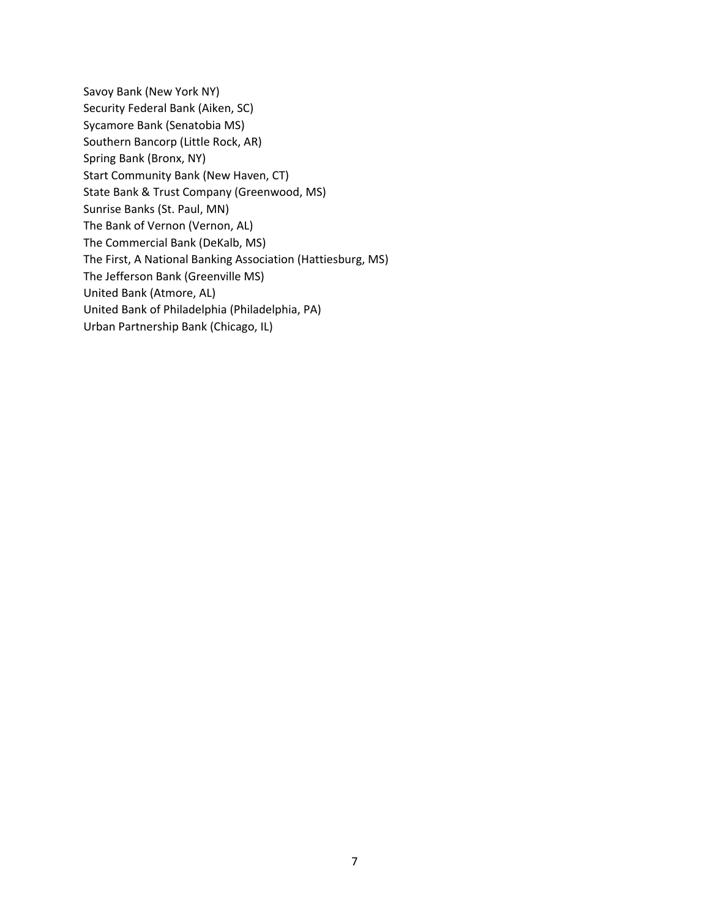Savoy Bank (New York NY) Security Federal Bank (Aiken, SC) Sycamore Bank (Senatobia MS) Southern Bancorp (Little Rock, AR) Spring Bank (Bronx, NY) Start Community Bank (New Haven, CT) State Bank & Trust Company (Greenwood, MS) Sunrise Banks (St. Paul, MN) The Bank of Vernon (Vernon, AL) The Commercial Bank (DeKalb, MS) The First, A National Banking Association (Hattiesburg, MS) The Jefferson Bank (Greenville MS) United Bank (Atmore, AL) United Bank of Philadelphia (Philadelphia, PA) Urban Partnership Bank (Chicago, IL)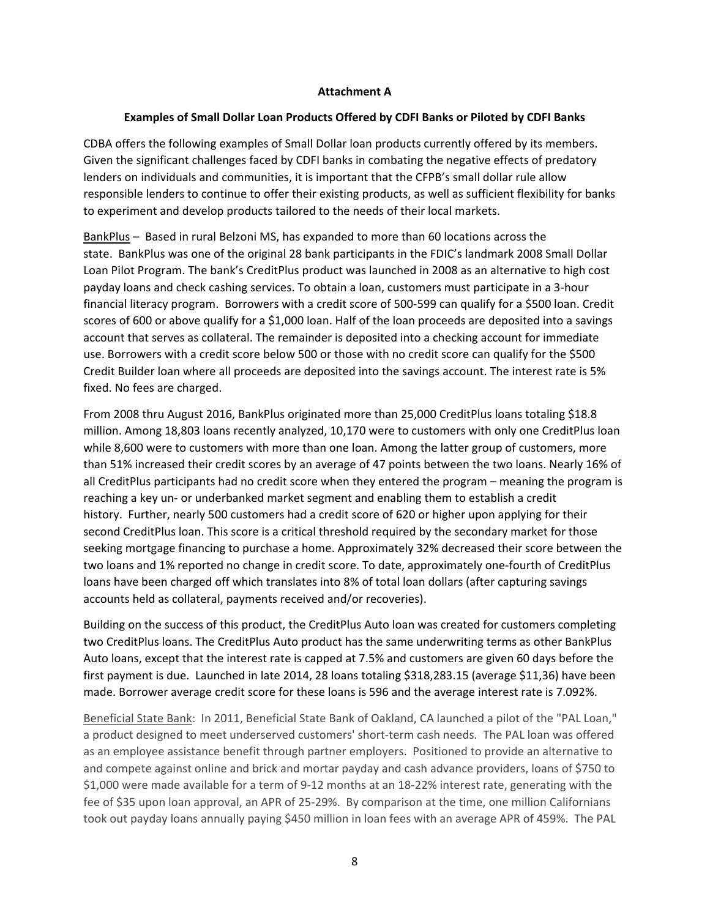## **Attachment A**

## **Examples of Small Dollar Loan Products Offered by CDFI Banks or Piloted by CDFI Banks**

CDBA offers the following examples of Small Dollar loan products currently offered by its members. Given the significant challenges faced by CDFI banks in combating the negative effects of predatory lenders on individuals and communities, it is important that the CFPB's small dollar rule allow responsible lenders to continue to offer their existing products, as well as sufficient flexibility for banks to experiment and develop products tailored to the needs of their local markets.

BankPlus – Based in rural Belzoni MS, has expanded to more than 60 locations across the state. BankPlus was one of the original 28 bank participants in the FDIC's landmark 2008 Small Dollar Loan Pilot Program. The bank's CreditPlus product was launched in 2008 as an alternative to high cost payday loans and check cashing services. To obtain a loan, customers must participate in a 3‐hour financial literacy program. Borrowers with a credit score of 500‐599 can qualify for a \$500 loan. Credit scores of 600 or above qualify for a \$1,000 loan. Half of the loan proceeds are deposited into a savings account that serves as collateral. The remainder is deposited into a checking account for immediate use. Borrowers with a credit score below 500 or those with no credit score can qualify for the \$500 Credit Builder loan where all proceeds are deposited into the savings account. The interest rate is 5% fixed. No fees are charged.

From 2008 thru August 2016, BankPlus originated more than 25,000 CreditPlus loans totaling \$18.8 million. Among 18,803 loans recently analyzed, 10,170 were to customers with only one CreditPlus loan while 8,600 were to customers with more than one loan. Among the latter group of customers, more than 51% increased their credit scores by an average of 47 points between the two loans. Nearly 16% of all CreditPlus participants had no credit score when they entered the program – meaning the program is reaching a key un‐ or underbanked market segment and enabling them to establish a credit history. Further, nearly 500 customers had a credit score of 620 or higher upon applying for their second CreditPlus loan. This score is a critical threshold required by the secondary market for those seeking mortgage financing to purchase a home. Approximately 32% decreased their score between the two loans and 1% reported no change in credit score. To date, approximately one‐fourth of CreditPlus loans have been charged off which translates into 8% of total loan dollars (after capturing savings accounts held as collateral, payments received and/or recoveries).

Building on the success of this product, the CreditPlus Auto loan was created for customers completing two CreditPlus loans. The CreditPlus Auto product has the same underwriting terms as other BankPlus Auto loans, except that the interest rate is capped at 7.5% and customers are given 60 days before the first payment is due. Launched in late 2014, 28 loans totaling \$318,283.15 (average \$11,36) have been made. Borrower average credit score for these loans is 596 and the average interest rate is 7.092%.

Beneficial State Bank: In 2011, Beneficial State Bank of Oakland, CA launched a pilot of the "PAL Loan," a product designed to meet underserved customers' short-term cash needs. The PAL loan was offered as an employee assistance benefit through partner employers. Positioned to provide an alternative to and compete against online and brick and mortar payday and cash advance providers, loans of \$750 to \$1,000 were made available for a term of 9-12 months at an 18-22% interest rate, generating with the fee of \$35 upon loan approval, an APR of 25-29%. By comparison at the time, one million Californians took out payday loans annually paying \$450 million in loan fees with an average APR of 459%. The PAL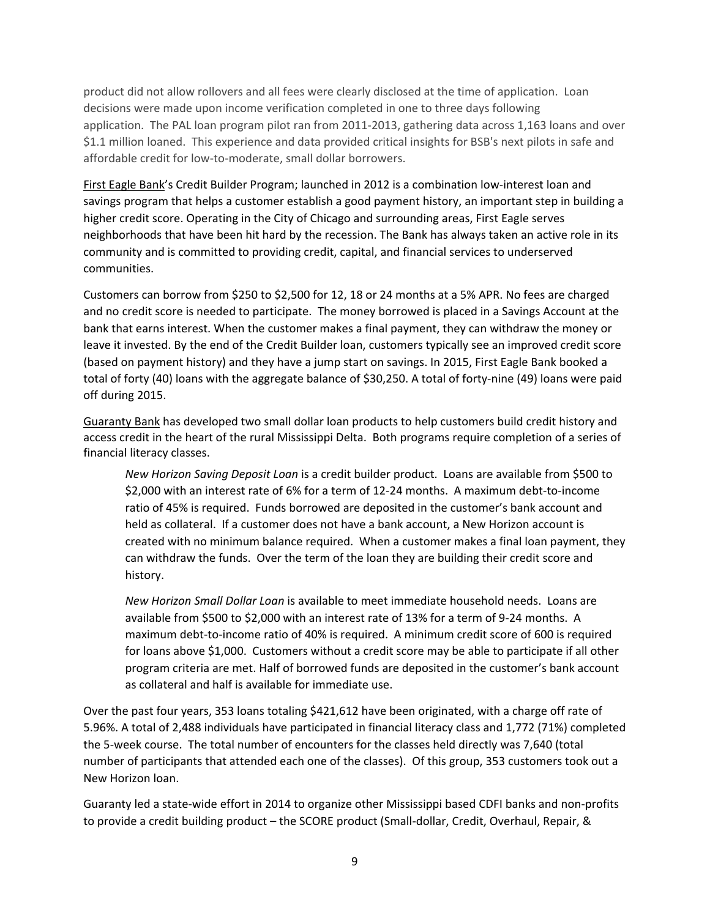product did not allow rollovers and all fees were clearly disclosed at the time of application. Loan decisions were made upon income verification completed in one to three days following application. The PAL loan program pilot ran from 2011‐2013, gathering data across 1,163 loans and over \$1.1 million loaned. This experience and data provided critical insights for BSB's next pilots in safe and affordable credit for low-to-moderate, small dollar borrowers.

First Eagle Bank's Credit Builder Program; launched in 2012 is a combination low‐interest loan and savings program that helps a customer establish a good payment history, an important step in building a higher credit score. Operating in the City of Chicago and surrounding areas, First Eagle serves neighborhoods that have been hit hard by the recession. The Bank has always taken an active role in its community and is committed to providing credit, capital, and financial services to underserved communities.

Customers can borrow from \$250 to \$2,500 for 12, 18 or 24 months at a 5% APR. No fees are charged and no credit score is needed to participate. The money borrowed is placed in a Savings Account at the bank that earns interest. When the customer makes a final payment, they can withdraw the money or leave it invested. By the end of the Credit Builder loan, customers typically see an improved credit score (based on payment history) and they have a jump start on savings. In 2015, First Eagle Bank booked a total of forty (40) loans with the aggregate balance of \$30,250. A total of forty‐nine (49) loans were paid off during 2015.

Guaranty Bank has developed two small dollar loan products to help customers build credit history and access credit in the heart of the rural Mississippi Delta. Both programs require completion of a series of financial literacy classes.

*New Horizon Saving Deposit Loan* is a credit builder product. Loans are available from \$500 to \$2,000 with an interest rate of 6% for a term of 12‐24 months. A maximum debt‐to‐income ratio of 45% is required. Funds borrowed are deposited in the customer's bank account and held as collateral. If a customer does not have a bank account, a New Horizon account is created with no minimum balance required. When a customer makes a final loan payment, they can withdraw the funds. Over the term of the loan they are building their credit score and history.

*New Horizon Small Dollar Loan* is available to meet immediate household needs. Loans are available from \$500 to \$2,000 with an interest rate of 13% for a term of 9‐24 months. A maximum debt-to-income ratio of 40% is required. A minimum credit score of 600 is required for loans above \$1,000. Customers without a credit score may be able to participate if all other program criteria are met. Half of borrowed funds are deposited in the customer's bank account as collateral and half is available for immediate use.

Over the past four years, 353 loans totaling \$421,612 have been originated, with a charge off rate of 5.96%. A total of 2,488 individuals have participated in financial literacy class and 1,772 (71%) completed the 5‐week course. The total number of encounters for the classes held directly was 7,640 (total number of participants that attended each one of the classes). Of this group, 353 customers took out a New Horizon loan.

Guaranty led a state‐wide effort in 2014 to organize other Mississippi based CDFI banks and non‐profits to provide a credit building product – the SCORE product (Small-dollar, Credit, Overhaul, Repair, &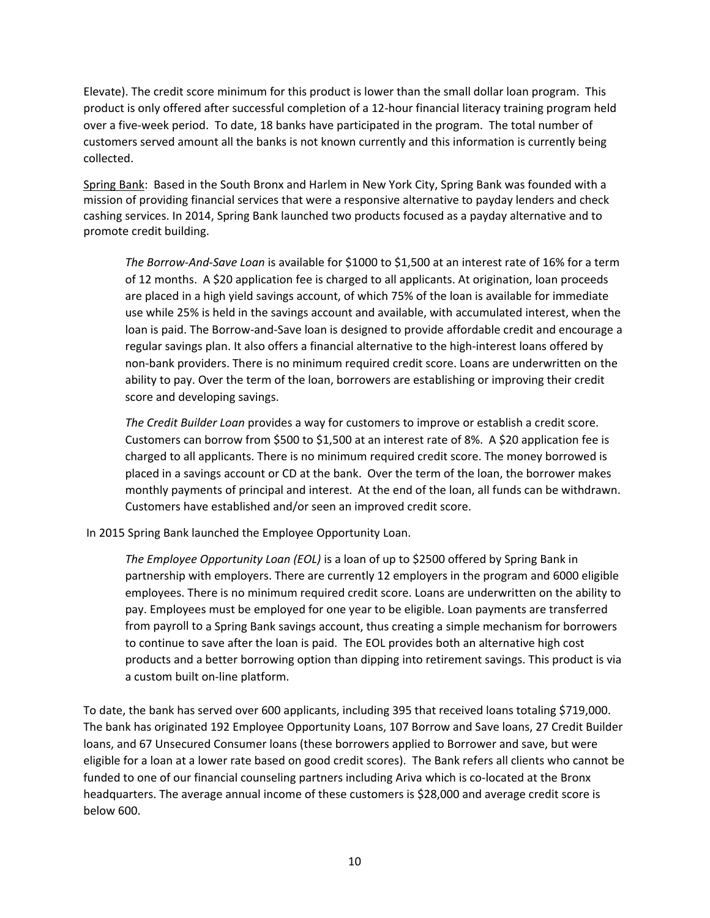Elevate). The credit score minimum for this product is lower than the small dollar loan program. This product is only offered after successful completion of a 12‐hour financial literacy training program held over a five‐week period. To date, 18 banks have participated in the program. The total number of customers served amount all the banks is not known currently and this information is currently being collected.

Spring Bank: Based in the South Bronx and Harlem in New York City, Spring Bank was founded with a mission of providing financial services that were a responsive alternative to payday lenders and check cashing services. In 2014, Spring Bank launched two products focused as a payday alternative and to promote credit building.

*The Borrow‐And‐Save Loan* is available for \$1000 to \$1,500 at an interest rate of 16% for a term of 12 months. A \$20 application fee is charged to all applicants. At origination, loan proceeds are placed in a high yield savings account, of which 75% of the loan is available for immediate use while 25% is held in the savings account and available, with accumulated interest, when the loan is paid. The Borrow‐and‐Save loan is designed to provide affordable credit and encourage a regular savings plan. It also offers a financial alternative to the high-interest loans offered by non‐bank providers. There is no minimum required credit score. Loans are underwritten on the ability to pay. Over the term of the loan, borrowers are establishing or improving their credit score and developing savings.

*The Credit Builder Loan* provides a way for customers to improve or establish a credit score. Customers can borrow from \$500 to \$1,500 at an interest rate of 8%. A \$20 application fee is charged to all applicants. There is no minimum required credit score. The money borrowed is placed in a savings account or CD at the bank. Over the term of the loan, the borrower makes monthly payments of principal and interest. At the end of the loan, all funds can be withdrawn. Customers have established and/or seen an improved credit score.

In 2015 Spring Bank launched the Employee Opportunity Loan.

*The Employee Opportunity Loan (EOL)* is a loan of up to \$2500 offered by Spring Bank in partnership with employers. There are currently 12 employers in the program and 6000 eligible employees. There is no minimum required credit score. Loans are underwritten on the ability to pay. Employees must be employed for one year to be eligible. Loan payments are transferred from payroll to a Spring Bank savings account, thus creating a simple mechanism for borrowers to continue to save after the loan is paid. The EOL provides both an alternative high cost products and a better borrowing option than dipping into retirement savings. This product is via a custom built on‐line platform.

To date, the bank has served over 600 applicants, including 395 that received loans totaling \$719,000. The bank has originated 192 Employee Opportunity Loans, 107 Borrow and Save loans, 27 Credit Builder loans, and 67 Unsecured Consumer loans (these borrowers applied to Borrower and save, but were eligible for a loan at a lower rate based on good credit scores). The Bank refers all clients who cannot be funded to one of our financial counseling partners including Ariva which is co-located at the Bronx headquarters. The average annual income of these customers is \$28,000 and average credit score is below 600.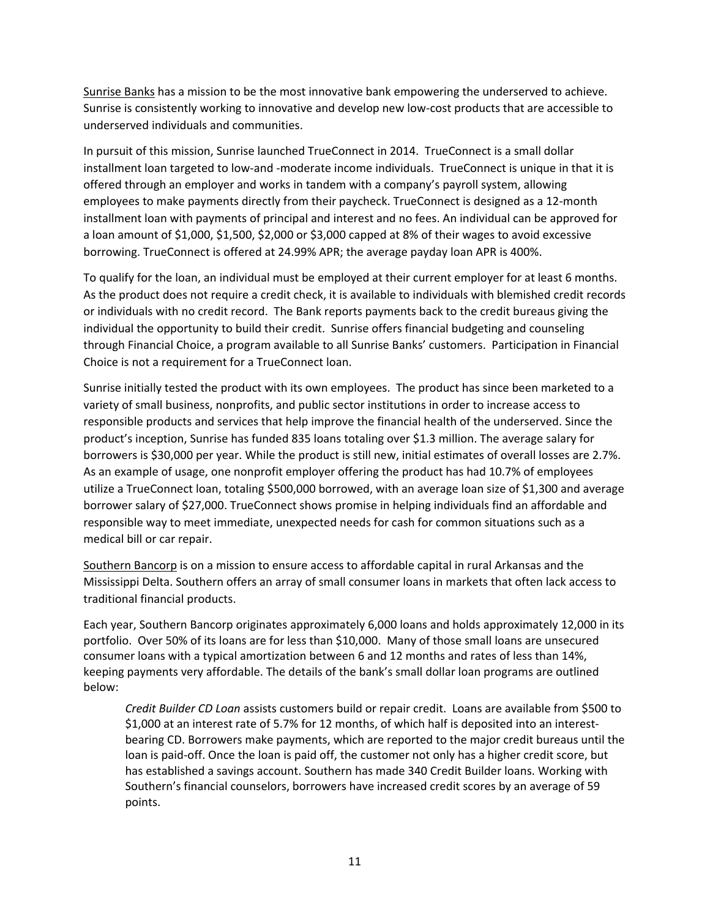Sunrise Banks has a mission to be the most innovative bank empowering the underserved to achieve. Sunrise is consistently working to innovative and develop new low‐cost products that are accessible to underserved individuals and communities.

In pursuit of this mission, Sunrise launched TrueConnect in 2014. TrueConnect is a small dollar installment loan targeted to low-and -moderate income individuals. TrueConnect is unique in that it is offered through an employer and works in tandem with a company's payroll system, allowing employees to make payments directly from their paycheck. TrueConnect is designed as a 12‐month installment loan with payments of principal and interest and no fees. An individual can be approved for a loan amount of \$1,000, \$1,500, \$2,000 or \$3,000 capped at 8% of their wages to avoid excessive borrowing. TrueConnect is offered at 24.99% APR; the average payday loan APR is 400%.

To qualify for the loan, an individual must be employed at their current employer for at least 6 months. As the product does not require a credit check, it is available to individuals with blemished credit records or individuals with no credit record. The Bank reports payments back to the credit bureaus giving the individual the opportunity to build their credit. Sunrise offers financial budgeting and counseling through Financial Choice, a program available to all Sunrise Banks' customers. Participation in Financial Choice is not a requirement for a TrueConnect loan.

Sunrise initially tested the product with its own employees. The product has since been marketed to a variety of small business, nonprofits, and public sector institutions in order to increase access to responsible products and services that help improve the financial health of the underserved. Since the product's inception, Sunrise has funded 835 loans totaling over \$1.3 million. The average salary for borrowers is \$30,000 per year. While the product is still new, initial estimates of overall losses are 2.7%. As an example of usage, one nonprofit employer offering the product has had 10.7% of employees utilize a TrueConnect loan, totaling \$500,000 borrowed, with an average loan size of \$1,300 and average borrower salary of \$27,000. TrueConnect shows promise in helping individuals find an affordable and responsible way to meet immediate, unexpected needs for cash for common situations such as a medical bill or car repair.

Southern Bancorp is on a mission to ensure access to affordable capital in rural Arkansas and the Mississippi Delta. Southern offers an array of small consumer loans in markets that often lack access to traditional financial products.

Each year, Southern Bancorp originates approximately 6,000 loans and holds approximately 12,000 in its portfolio. Over 50% of its loans are for less than \$10,000. Many of those small loans are unsecured consumer loans with a typical amortization between 6 and 12 months and rates of less than 14%, keeping payments very affordable. The details of the bank's small dollar loan programs are outlined below:

*Credit Builder CD Loan* assists customers build or repair credit. Loans are available from \$500 to \$1,000 at an interest rate of 5.7% for 12 months, of which half is deposited into an interest‐ bearing CD. Borrowers make payments, which are reported to the major credit bureaus until the loan is paid-off. Once the loan is paid off, the customer not only has a higher credit score, but has established a savings account. Southern has made 340 Credit Builder loans. Working with Southern's financial counselors, borrowers have increased credit scores by an average of 59 points.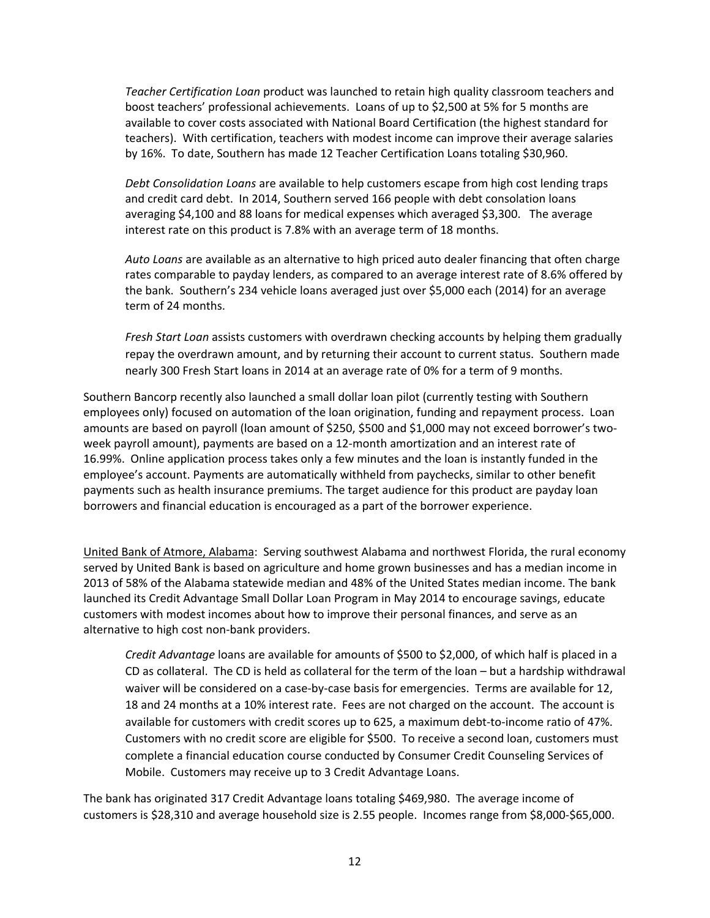*Teacher Certification Loan* product was launched to retain high quality classroom teachers and boost teachers' professional achievements. Loans of up to \$2,500 at 5% for 5 months are available to cover costs associated with National Board Certification (the highest standard for teachers). With certification, teachers with modest income can improve their average salaries by 16%. To date, Southern has made 12 Teacher Certification Loans totaling \$30,960.

*Debt Consolidation Loans* are available to help customers escape from high cost lending traps and credit card debt. In 2014, Southern served 166 people with debt consolation loans averaging \$4,100 and 88 loans for medical expenses which averaged \$3,300. The average interest rate on this product is 7.8% with an average term of 18 months.

*Auto Loans* are available as an alternative to high priced auto dealer financing that often charge rates comparable to payday lenders, as compared to an average interest rate of 8.6% offered by the bank. Southern's 234 vehicle loans averaged just over \$5,000 each (2014) for an average term of 24 months.

*Fresh Start Loan* assists customers with overdrawn checking accounts by helping them gradually repay the overdrawn amount, and by returning their account to current status. Southern made nearly 300 Fresh Start loans in 2014 at an average rate of 0% for a term of 9 months.

Southern Bancorp recently also launched a small dollar loan pilot (currently testing with Southern employees only) focused on automation of the loan origination, funding and repayment process. Loan amounts are based on payroll (loan amount of \$250, \$500 and \$1,000 may not exceed borrower's twoweek payroll amount), payments are based on a 12‐month amortization and an interest rate of 16.99%. Online application process takes only a few minutes and the loan is instantly funded in the employee's account. Payments are automatically withheld from paychecks, similar to other benefit payments such as health insurance premiums. The target audience for this product are payday loan borrowers and financial education is encouraged as a part of the borrower experience.

United Bank of Atmore, Alabama: Serving southwest Alabama and northwest Florida, the rural economy served by United Bank is based on agriculture and home grown businesses and has a median income in 2013 of 58% of the Alabama statewide median and 48% of the United States median income. The bank launched its Credit Advantage Small Dollar Loan Program in May 2014 to encourage savings, educate customers with modest incomes about how to improve their personal finances, and serve as an alternative to high cost non‐bank providers.

*Credit Advantage* loans are available for amounts of \$500 to \$2,000, of which half is placed in a CD as collateral. The CD is held as collateral for the term of the loan – but a hardship withdrawal waiver will be considered on a case-by-case basis for emergencies. Terms are available for 12, 18 and 24 months at a 10% interest rate. Fees are not charged on the account. The account is available for customers with credit scores up to 625, a maximum debt-to-income ratio of 47%. Customers with no credit score are eligible for \$500. To receive a second loan, customers must complete a financial education course conducted by Consumer Credit Counseling Services of Mobile. Customers may receive up to 3 Credit Advantage Loans.

The bank has originated 317 Credit Advantage loans totaling \$469,980. The average income of customers is \$28,310 and average household size is 2.55 people. Incomes range from \$8,000‐\$65,000.